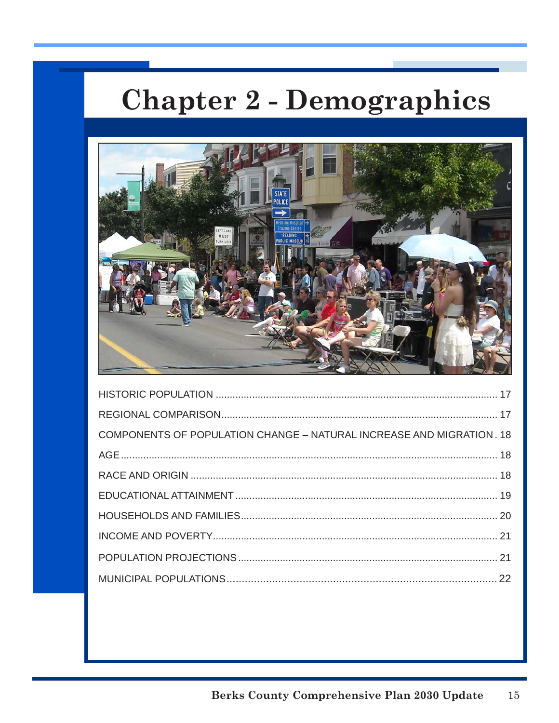# **Chapter 2 - Demographics**



| COMPONENTS OF POPULATION CHANGE - NATURAL INCREASE AND MIGRATION. 18 |  |
|----------------------------------------------------------------------|--|
|                                                                      |  |
|                                                                      |  |
|                                                                      |  |
|                                                                      |  |
|                                                                      |  |
|                                                                      |  |
|                                                                      |  |
|                                                                      |  |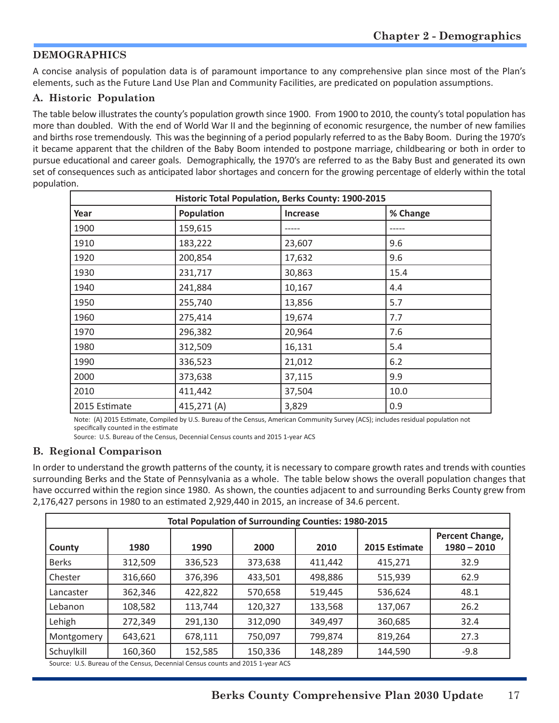# **DEMOGRAPHICS**

A concise analysis of population data is of paramount importance to any comprehensive plan since most of the Plan's elements, such as the Future Land Use Plan and Community Facilities, are predicated on population assumptions.

## **A. Historic Population**

The table below illustrates the county's population growth since 1900. From 1900 to 2010, the county's total population has more than doubled. With the end of World War II and the beginning of economic resurgence, the number of new families and births rose tremendously. This was the beginning of a period popularly referred to as the Baby Boom. During the 1970's it became apparent that the children of the Baby Boom intended to postpone marriage, childbearing or both in order to pursue educational and career goals. Demographically, the 1970's are referred to as the Baby Bust and generated its own set of consequences such as anticipated labor shortages and concern for the growing percentage of elderly within the total population.

| Historic Total Population, Berks County: 1900-2015 |            |                 |          |  |
|----------------------------------------------------|------------|-----------------|----------|--|
| Year                                               | Population | <b>Increase</b> | % Change |  |
| 1900                                               | 159,615    |                 |          |  |
| 1910                                               | 183,222    | 23,607          | 9.6      |  |
| 1920                                               | 200,854    | 17,632          | 9.6      |  |
| 1930                                               | 231,717    | 30,863          | 15.4     |  |
| 1940                                               | 241,884    | 10,167          | 4.4      |  |
| 1950                                               | 255,740    | 13,856          | 5.7      |  |
| 1960                                               | 275,414    | 19,674          | 7.7      |  |
| 1970                                               | 296,382    | 20,964          | 7.6      |  |
| 1980                                               | 312,509    | 16,131          | 5.4      |  |
| 1990                                               | 336,523    | 21,012          | 6.2      |  |
| 2000                                               | 373,638    | 37,115          | 9.9      |  |
| 2010                                               | 411,442    | 37,504          | 10.0     |  |
| 2015 Estimate                                      | 415,271(A) | 3,829           | 0.9      |  |

Note: (A) 2015 Estimate, Compiled by U.S. Bureau of the Census, American Community Survey (ACS); includes residual population not specifically counted in the estimate

Source: U.S. Bureau of the Census, Decennial Census counts and 2015 1-year ACS

#### **B. Regional Comparison**

In order to understand the growth patterns of the county, it is necessary to compare growth rates and trends with counties surrounding Berks and the State of Pennsylvania as a whole. The table below shows the overall population changes that have occurred within the region since 1980. As shown, the counties adjacent to and surrounding Berks County grew from 2,176,427 persons in 1980 to an estimated 2,929,440 in 2015, an increase of 34.6 percent.

| <b>Total Population of Surrounding Counties: 1980-2015</b> |         |         |         |         |               |                                  |
|------------------------------------------------------------|---------|---------|---------|---------|---------------|----------------------------------|
| County                                                     | 1980    | 1990    | 2000    | 2010    | 2015 Estimate | Percent Change,<br>$1980 - 2010$ |
| <b>Berks</b>                                               | 312,509 | 336,523 | 373,638 | 411,442 | 415,271       | 32.9                             |
| Chester                                                    | 316,660 | 376,396 | 433,501 | 498,886 | 515,939       | 62.9                             |
| Lancaster                                                  | 362,346 | 422,822 | 570,658 | 519,445 | 536,624       | 48.1                             |
| Lebanon                                                    | 108,582 | 113,744 | 120,327 | 133,568 | 137,067       | 26.2                             |
| Lehigh                                                     | 272,349 | 291,130 | 312,090 | 349,497 | 360,685       | 32.4                             |
| Montgomery                                                 | 643,621 | 678,111 | 750,097 | 799,874 | 819,264       | 27.3                             |
| Schuylkill                                                 | 160,360 | 152,585 | 150,336 | 148,289 | 144,590       | $-9.8$                           |

Source: U.S. Bureau of the Census, Decennial Census counts and 2015 1-year ACS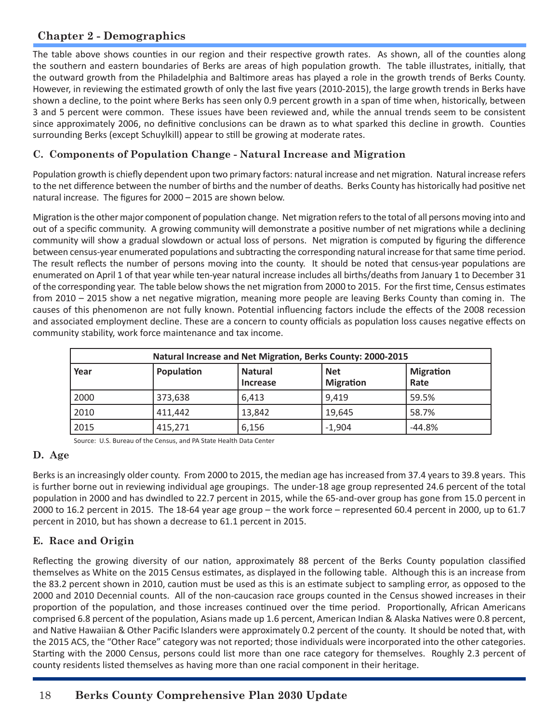# **Chapter 2 - Demographics**

The table above shows counties in our region and their respective growth rates. As shown, all of the counties along the southern and eastern boundaries of Berks are areas of high population growth. The table illustrates, initially, that the outward growth from the Philadelphia and Baltimore areas has played a role in the growth trends of Berks County. However, in reviewing the estimated growth of only the last five years (2010-2015), the large growth trends in Berks have shown a decline, to the point where Berks has seen only 0.9 percent growth in a span of time when, historically, between 3 and 5 percent were common. These issues have been reviewed and, while the annual trends seem to be consistent since approximately 2006, no definitive conclusions can be drawn as to what sparked this decline in growth. Counties surrounding Berks (except Schuylkill) appear to still be growing at moderate rates.

# **C. Components of Population Change - Natural Increase and Migration**

Population growth is chiefly dependent upon two primary factors: natural increase and net migration. Natural increase refers to the net difference between the number of births and the number of deaths. Berks County has historically had positive net natural increase. The figures for 2000 – 2015 are shown below.

Migration is the other major component of population change. Net migration refers to the total of all persons moving into and out of a specific community. A growing community will demonstrate a positive number of net migrations while a declining community will show a gradual slowdown or actual loss of persons. Net migration is computed by figuring the difference between census-year enumerated populations and subtracting the corresponding natural increase for that same time period. The result reflects the number of persons moving into the county. It should be noted that census-year populations are enumerated on April 1 of that year while ten-year natural increase includes all births/deaths from January 1 to December 31 of the corresponding year. The table below shows the net migration from 2000 to 2015. For the first time, Census estimates from 2010 – 2015 show a net negative migration, meaning more people are leaving Berks County than coming in. The causes of this phenomenon are not fully known. Potential influencing factors include the effects of the 2008 recession and associated employment decline. These are a concern to county officials as population loss causes negative effects on community stability, work force maintenance and tax income.

| Natural Increase and Net Migration, Berks County: 2000-2015 |            |                                   |                                |                          |  |
|-------------------------------------------------------------|------------|-----------------------------------|--------------------------------|--------------------------|--|
| Year                                                        | Population | <b>Natural</b><br><b>Increase</b> | <b>Net</b><br><b>Migration</b> | <b>Migration</b><br>Rate |  |
| 2000                                                        | 373,638    | 6.413                             | 9.419                          | 59.5%                    |  |
| 2010                                                        | 411,442    | 13,842                            | 19,645                         | 58.7%                    |  |
| 2015                                                        | 415,271    | 6,156                             | $-1,904$                       | $-44.8%$                 |  |

Source: U.S. Bureau of the Census, and PA State Health Data Center

# **D. Age**

Berks is an increasingly older county. From 2000 to 2015, the median age has increased from 37.4 years to 39.8 years. This is further borne out in reviewing individual age groupings. The under-18 age group represented 24.6 percent of the total population in 2000 and has dwindled to 22.7 percent in 2015, while the 65-and-over group has gone from 15.0 percent in 2000 to 16.2 percent in 2015. The 18-64 year age group – the work force – represented 60.4 percent in 2000, up to 61.7 percent in 2010, but has shown a decrease to 61.1 percent in 2015.

# **E. Race and Origin**

Reflecting the growing diversity of our nation, approximately 88 percent of the Berks County population classified themselves as White on the 2015 Census estimates, as displayed in the following table. Although this is an increase from the 83.2 percent shown in 2010, caution must be used as this is an estimate subject to sampling error, as opposed to the 2000 and 2010 Decennial counts. All of the non-caucasion race groups counted in the Census showed increases in their proportion of the population, and those increases continued over the time period. Proportionally, African Americans comprised 6.8 percent of the population, Asians made up 1.6 percent, American Indian & Alaska Natives were 0.8 percent, and Native Hawaiian & Other Pacific Islanders were approximately 0.2 percent of the county. It should be noted that, with the 2015 ACS, the "Other Race" category was not reported; those individuals were incorporated into the other categories. Starting with the 2000 Census, persons could list more than one race category for themselves. Roughly 2.3 percent of county residents listed themselves as having more than one racial component in their heritage.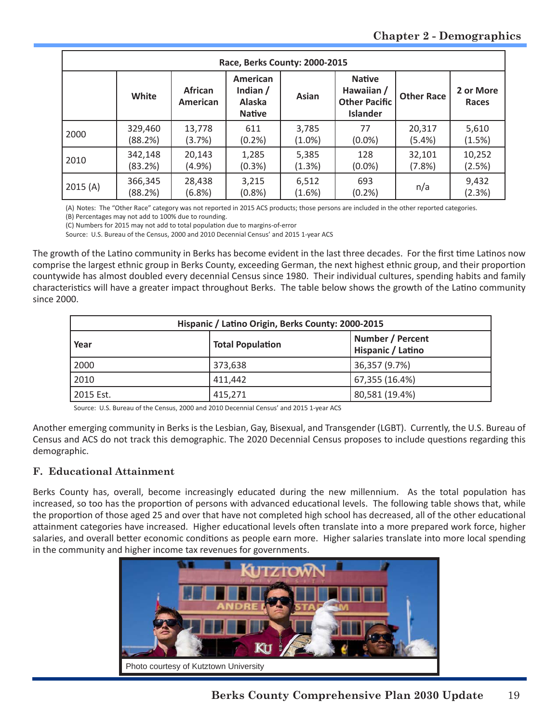| Race, Berks County: 2000-2015 |                    |                                   |                                                   |                    |                                                                        |                   |                           |
|-------------------------------|--------------------|-----------------------------------|---------------------------------------------------|--------------------|------------------------------------------------------------------------|-------------------|---------------------------|
|                               | White              | <b>African</b><br><b>American</b> | American<br>Indian $/$<br>Alaska<br><b>Native</b> | Asian              | <b>Native</b><br>Hawaiian /<br><b>Other Pacific</b><br><b>Islander</b> | <b>Other Race</b> | 2 or More<br><b>Races</b> |
| 2000                          | 329,460<br>(88.2%) | 13,778<br>(3.7%)                  | 611<br>(0.2%                                      | 3,785<br>$(1.0\%)$ | 77<br>$(0.0\%)$                                                        | 20,317<br>(5.4%)  | 5,610<br>(1.5%)           |
| 2010                          | 342,148<br>(83.2%) | 20,143<br>(4.9%                   | 1,285<br>(0.3%)                                   | 5,385<br>(1.3%)    | 128<br>$(0.0\%)$                                                       | 32,101<br>(7.8%)  | 10,252<br>(2.5%)          |
| 2015(A)                       | 366,345<br>(88.2%) | 28,438<br>(6.8%)                  | 3,215<br>(0.8%                                    | 6,512<br>(1.6%)    | 693<br>(0.2%                                                           | n/a               | 9,432<br>(2.3%)           |

(A) Notes: The "Other Race" category was not reported in 2015 ACS products; those persons are included in the other reported categories.

(B) Percentages may not add to 100% due to rounding.

(C) Numbers for 2015 may not add to total population due to margins-of-error Source: U.S. Bureau of the Census, 2000 and 2010 Decennial Census' and 2015 1-year ACS

The growth of the Latino community in Berks has become evident in the last three decades. For the first time Latinos now comprise the largest ethnic group in Berks County, exceeding German, the next highest ethnic group, and their proportion countywide has almost doubled every decennial Census since 1980. Their individual cultures, spending habits and family characteristics will have a greater impact throughout Berks. The table below shows the growth of the Latino community since 2000.

| Hispanic / Latino Origin, Berks County: 2000-2015 |                                                                  |                |  |  |
|---------------------------------------------------|------------------------------------------------------------------|----------------|--|--|
| Year                                              | Number / Percent<br><b>Total Population</b><br>Hispanic / Latino |                |  |  |
| 2000                                              | 373,638                                                          | 36,357 (9.7%)  |  |  |
| 2010                                              | 411.442                                                          | 67,355 (16.4%) |  |  |
| 2015 Est.                                         | 415,271                                                          | 80,581 (19.4%) |  |  |

Source: U.S. Bureau of the Census, 2000 and 2010 Decennial Census' and 2015 1-year ACS

Another emerging community in Berks is the Lesbian, Gay, Bisexual, and Transgender (LGBT). Currently, the U.S. Bureau of Census and ACS do not track this demographic. The 2020 Decennial Census proposes to include questions regarding this demographic.

#### **F. Educational Attainment**

Berks County has, overall, become increasingly educated during the new millennium. As the total population has increased, so too has the proportion of persons with advanced educational levels. The following table shows that, while the proportion of those aged 25 and over that have not completed high school has decreased, all of the other educational attainment categories have increased. Higher educational levels often translate into a more prepared work force, higher salaries, and overall better economic conditions as people earn more. Higher salaries translate into more local spending in the community and higher income tax revenues for governments.

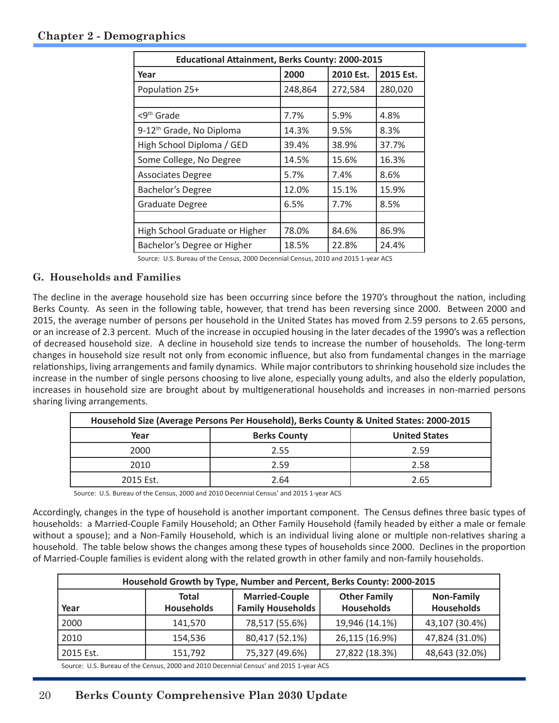## **Chapter 2 - Demographics**

| <b>Educational Attainment, Berks County: 2000-2015</b> |         |           |           |  |  |  |
|--------------------------------------------------------|---------|-----------|-----------|--|--|--|
| Year                                                   | 2000    | 2010 Est. | 2015 Est. |  |  |  |
| Population 25+                                         | 248,864 | 272,584   | 280,020   |  |  |  |
|                                                        |         |           |           |  |  |  |
| <9 <sup>th</sup> Grade                                 | 7.7%    | 5.9%      | 4.8%      |  |  |  |
| 9-12 <sup>th</sup> Grade, No Diploma                   | 14.3%   | 9.5%      | 8.3%      |  |  |  |
| High School Diploma / GED                              | 39.4%   | 38.9%     | 37.7%     |  |  |  |
| Some College, No Degree                                | 14.5%   | 15.6%     | 16.3%     |  |  |  |
| <b>Associates Degree</b>                               | 5.7%    | 7.4%      | 8.6%      |  |  |  |
| <b>Bachelor's Degree</b>                               | 12.0%   | 15.1%     | 15.9%     |  |  |  |
| Graduate Degree                                        | 6.5%    | 7.7%      | 8.5%      |  |  |  |
|                                                        |         |           |           |  |  |  |
| High School Graduate or Higher                         | 78.0%   | 84.6%     | 86.9%     |  |  |  |
| Bachelor's Degree or Higher                            | 18.5%   | 22.8%     | 24.4%     |  |  |  |

Source: U.S. Bureau of the Census, 2000 Decennial Census, 2010 and 2015 1-year ACS

#### **G. Households and Families**

The decline in the average household size has been occurring since before the 1970's throughout the nation, including Berks County. As seen in the following table, however, that trend has been reversing since 2000. Between 2000 and 2015, the average number of persons per household in the United States has moved from 2.59 persons to 2.65 persons, or an increase of 2.3 percent. Much of the increase in occupied housing in the later decades of the 1990's was a reflection of decreased household size. A decline in household size tends to increase the number of households. The long-term changes in household size result not only from economic influence, but also from fundamental changes in the marriage relationships, living arrangements and family dynamics. While major contributors to shrinking household size includes the increase in the number of single persons choosing to live alone, especially young adults, and also the elderly population, increases in household size are brought about by multigenerational households and increases in non-married persons sharing living arrangements.

| Household Size (Average Persons Per Household), Berks County & United States: 2000-2015 |                     |                      |  |  |  |
|-----------------------------------------------------------------------------------------|---------------------|----------------------|--|--|--|
| Year                                                                                    | <b>Berks County</b> | <b>United States</b> |  |  |  |
| 2000                                                                                    | 2.55                | 2.59                 |  |  |  |
| 2010                                                                                    | 2.59                | 2.58                 |  |  |  |
| 2015 Est.                                                                               | 2.64                | 2.65                 |  |  |  |

Source: U.S. Bureau of the Census, 2000 and 2010 Decennial Census' and 2015 1-year ACS

Accordingly, changes in the type of household is another important component. The Census defines three basic types of households: a Married-Couple Family Household; an Other Family Household (family headed by either a male or female without a spouse); and a Non-Family Household, which is an individual living alone or multiple non-relatives sharing a household. The table below shows the changes among these types of households since 2000. Declines in the proportion of Married-Couple families is evident along with the related growth in other family and non-family households.

| Household Growth by Type, Number and Percent, Berks County: 2000-2015 |                            |                                                   |                                          |                                        |  |  |
|-----------------------------------------------------------------------|----------------------------|---------------------------------------------------|------------------------------------------|----------------------------------------|--|--|
| Year                                                                  | Total<br><b>Households</b> | <b>Married-Couple</b><br><b>Family Households</b> | <b>Other Family</b><br><b>Households</b> | <b>Non-Family</b><br><b>Households</b> |  |  |
| 2000                                                                  | 141,570                    | 78,517 (55.6%)                                    | 19,946 (14.1%)                           | 43,107 (30.4%)                         |  |  |
| 2010                                                                  | 154.536                    | 80,417 (52.1%)                                    | 26,115 (16.9%)                           | 47,824 (31.0%)                         |  |  |
| 2015 Est.                                                             | 151,792                    | 75,327 (49.6%)                                    | 27,822 (18.3%)                           | 48,643 (32.0%)                         |  |  |
|                                                                       |                            |                                                   |                                          |                                        |  |  |

Source: U.S. Bureau of the Census, 2000 and 2010 Decennial Census' and 2015 1-year ACS

# 20 **Berks County Comprehensive Plan 2030 Update**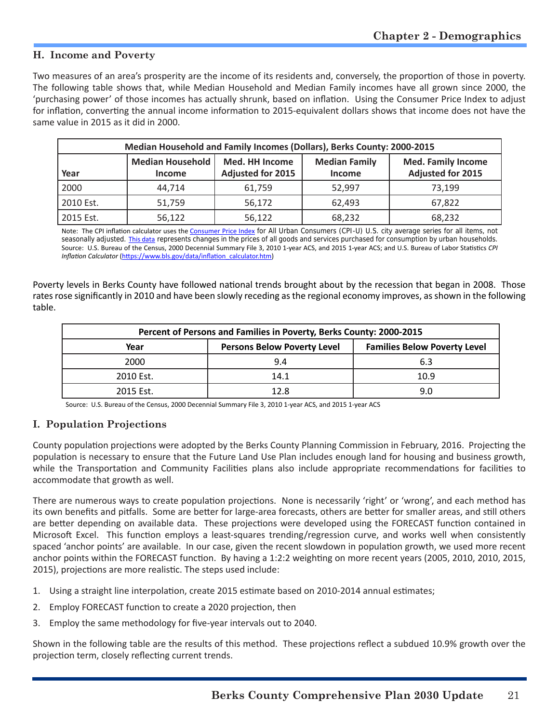#### **H. Income and Poverty**

Two measures of an area's prosperity are the income of its residents and, conversely, the proportion of those in poverty. The following table shows that, while Median Household and Median Family incomes have all grown since 2000, the 'purchasing power' of those incomes has actually shrunk, based on inflation. Using the Consumer Price Index to adjust for inflation, converting the annual income information to 2015-equivalent dollars shows that income does not have the same value in 2015 as it did in 2000.

| Median Household and Family Incomes (Dollars), Berks County: 2000-2015 |                                   |                                            |                                       |                                                       |  |
|------------------------------------------------------------------------|-----------------------------------|--------------------------------------------|---------------------------------------|-------------------------------------------------------|--|
| Year                                                                   | Median Household<br><b>Income</b> | Med. HH Income<br><b>Adjusted for 2015</b> | <b>Median Family</b><br><b>Income</b> | <b>Med. Family Income</b><br><b>Adjusted for 2015</b> |  |
| 2000                                                                   | 44.714                            | 61.759                                     | 52,997                                | 73.199                                                |  |
| 2010 Est.                                                              | 51,759                            | 56,172                                     | 62.493                                | 67,822                                                |  |
| 2015 Est.                                                              | 56,122                            | 56,122                                     | 68,232                                | 68,232                                                |  |

Note: The CPI inflation calculator uses the [Consumer Price Index](https://www.bls.gov/cpi/) for All Urban Consumers (CPI-U) U.S. city average series for all items, not seasonally adjusted. [This data](https://data.bls.gov/timeseries/CUUR0000SA0) represents changes in the prices of all goods and services purchased for consumption by urban households. Source: U.S. Bureau of the Census, 2000 Decennial Summary File 3, 2010 1-year ACS, and 2015 1-year ACS; and U.S. Bureau of Labor Statistics *CPI Inflation Calculator* ([https://www.bls.gov/data/inflation\\_calculator.htm](https://www.bls.gov/data/inflation_calculator.htm))

Poverty levels in Berks County have followed national trends brought about by the recession that began in 2008. Those rates rose significantly in 2010 and have been slowly receding as the regional economy improves, as shown in the following table.

| Percent of Persons and Families in Poverty, Berks County: 2000-2015 |                                    |                                     |  |  |  |
|---------------------------------------------------------------------|------------------------------------|-------------------------------------|--|--|--|
| Year                                                                | <b>Persons Below Poverty Level</b> | <b>Families Below Poverty Level</b> |  |  |  |
| 2000                                                                | 9.4                                | 6.3                                 |  |  |  |
| 2010 Est.                                                           | 14.1                               | 10.9                                |  |  |  |
| 2015 Est.                                                           | 12 R                               | 9.0                                 |  |  |  |

Source: U.S. Bureau of the Census, 2000 Decennial Summary File 3, 2010 1-year ACS, and 2015 1-year ACS

# **I. Population Projections**

County population projections were adopted by the Berks County Planning Commission in February, 2016. Projecting the population is necessary to ensure that the Future Land Use Plan includes enough land for housing and business growth, while the Transportation and Community Facilities plans also include appropriate recommendations for facilities to accommodate that growth as well.

There are numerous ways to create population projections. None is necessarily 'right' or 'wrong', and each method has its own benefits and pitfalls. Some are better for large-area forecasts, others are better for smaller areas, and still others are better depending on available data. These projections were developed using the FORECAST function contained in Microsoft Excel. This function employs a least-squares trending/regression curve, and works well when consistently spaced 'anchor points' are available. In our case, given the recent slowdown in population growth, we used more recent anchor points within the FORECAST function. By having a 1:2:2 weighting on more recent years (2005, 2010, 2010, 2015, 2015), projections are more realistic. The steps used include:

- 1. Using a straight line interpolation, create 2015 estimate based on 2010-2014 annual estimates;
- 2. Employ FORECAST function to create a 2020 projection, then
- 3. Employ the same methodology for five-year intervals out to 2040.

Shown in the following table are the results of this method. These projections reflect a subdued 10.9% growth over the projection term, closely reflecting current trends.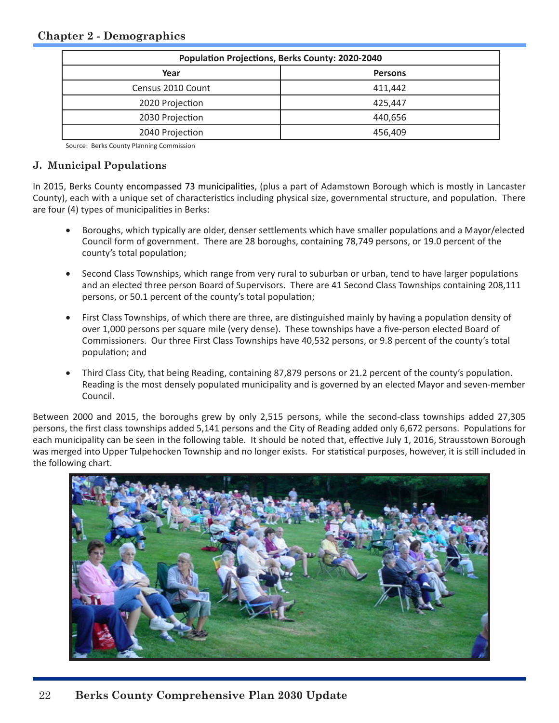| <b>Population Projections, Berks County: 2020-2040</b> |                |  |  |
|--------------------------------------------------------|----------------|--|--|
| Year                                                   | <b>Persons</b> |  |  |
| Census 2010 Count                                      | 411.442        |  |  |
| 2020 Projection                                        | 425.447        |  |  |
| 2030 Projection                                        | 440,656        |  |  |
| 2040 Projection                                        | 456.409        |  |  |

Source: Berks County Planning Commission

#### **J. Municipal Populations**

In 2015, Berks County encompassed 73 municipalities, (plus a part of Adamstown Borough which is mostly in Lancaster County), each with a unique set of characteristics including physical size, governmental structure, and population. There are four (4) types of municipalities in Berks:

- Boroughs, which typically are older, denser settlements which have smaller populations and a Mayor/elected Council form of government. There are 28 boroughs, containing 78,749 persons, or 19.0 percent of the county's total population;
- Second Class Townships, which range from very rural to suburban or urban, tend to have larger populations and an elected three person Board of Supervisors. There are 41 Second Class Townships containing 208,111 persons, or 50.1 percent of the county's total population;
- First Class Townships, of which there are three, are distinguished mainly by having a population density of over 1,000 persons per square mile (very dense). These townships have a five-person elected Board of Commissioners. Our three First Class Townships have 40,532 persons, or 9.8 percent of the county's total population; and
- Third Class City, that being Reading, containing 87,879 persons or 21.2 percent of the county's population. Reading is the most densely populated municipality and is governed by an elected Mayor and seven-member Council.

Between 2000 and 2015, the boroughs grew by only 2,515 persons, while the second-class townships added 27,305 persons, the first class townships added 5,141 persons and the City of Reading added only 6,672 persons. Populations for each municipality can be seen in the following table. It should be noted that, effective July 1, 2016, Strausstown Borough was merged into Upper Tulpehocken Township and no longer exists. For statistical purposes, however, it is still included in the following chart.

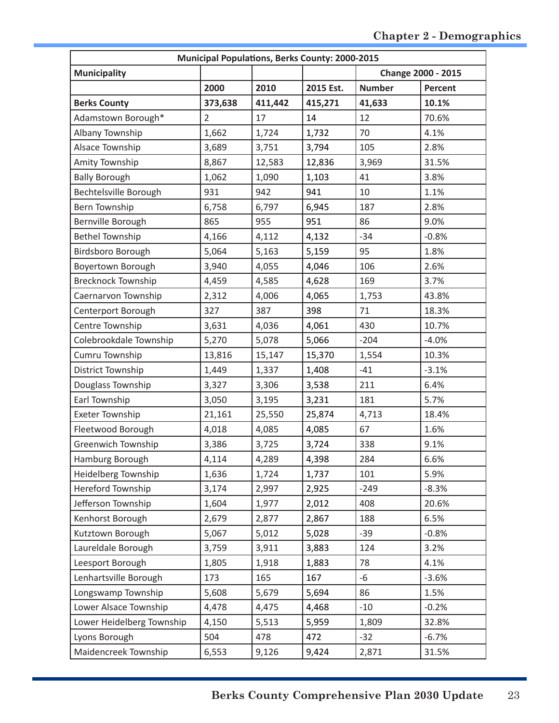| <b>Municipal Populations, Berks County: 2000-2015</b> |                |         |           |                    |                |  |  |  |  |
|-------------------------------------------------------|----------------|---------|-----------|--------------------|----------------|--|--|--|--|
| <b>Municipality</b>                                   |                |         |           | Change 2000 - 2015 |                |  |  |  |  |
|                                                       | 2000           | 2010    | 2015 Est. | <b>Number</b>      | <b>Percent</b> |  |  |  |  |
| <b>Berks County</b>                                   | 373,638        | 411,442 | 415,271   | 41,633             | 10.1%          |  |  |  |  |
| Adamstown Borough*                                    | $\overline{2}$ | 17      | 14        | 12                 | 70.6%          |  |  |  |  |
| Albany Township                                       | 1,662          | 1,724   | 1,732     | 70                 | 4.1%           |  |  |  |  |
| Alsace Township                                       | 3,689          | 3,751   | 3,794     | 105                | 2.8%           |  |  |  |  |
| Amity Township                                        | 8,867          | 12,583  | 12,836    | 3,969              | 31.5%          |  |  |  |  |
| <b>Bally Borough</b>                                  | 1,062          | 1,090   | 1,103     | 41                 | 3.8%           |  |  |  |  |
| Bechtelsville Borough                                 | 931            | 942     | 941       | 10                 | 1.1%           |  |  |  |  |
| Bern Township                                         | 6,758          | 6,797   | 6,945     | 187                | 2.8%           |  |  |  |  |
| Bernville Borough                                     | 865            | 955     | 951       | 86                 | 9.0%           |  |  |  |  |
| <b>Bethel Township</b>                                | 4,166          | 4,112   | 4,132     | $-34$              | $-0.8%$        |  |  |  |  |
| Birdsboro Borough                                     | 5,064          | 5,163   | 5,159     | 95                 | 1.8%           |  |  |  |  |
| Boyertown Borough                                     | 3,940          | 4,055   | 4,046     | 106                | 2.6%           |  |  |  |  |
| <b>Brecknock Township</b>                             | 4,459          | 4,585   | 4,628     | 169                | 3.7%           |  |  |  |  |
| Caernarvon Township                                   | 2,312          | 4,006   | 4,065     | 1,753              | 43.8%          |  |  |  |  |
| Centerport Borough                                    | 327            | 387     | 398       | 71                 | 18.3%          |  |  |  |  |
| Centre Township                                       | 3,631          | 4,036   | 4,061     | 430                | 10.7%          |  |  |  |  |
| Colebrookdale Township                                | 5,270          | 5,078   | 5,066     | $-204$             | $-4.0%$        |  |  |  |  |
| Cumru Township                                        | 13,816         | 15,147  | 15,370    | 1,554              | 10.3%          |  |  |  |  |
| District Township                                     | 1,449          | 1,337   | 1,408     | $-41$              | $-3.1%$        |  |  |  |  |
| Douglass Township                                     | 3,327          | 3,306   | 3,538     | 211                | 6.4%           |  |  |  |  |
| Earl Township                                         | 3,050          | 3,195   | 3,231     | 181                | 5.7%           |  |  |  |  |
| <b>Exeter Township</b>                                | 21,161         | 25,550  | 25,874    | 4,713              | 18.4%          |  |  |  |  |
| Fleetwood Borough                                     | 4,018          | 4,085   | 4,085     | 67                 | 1.6%           |  |  |  |  |
| Greenwich Township                                    | 3,386          | 3,725   | 3,724     | 338                | 9.1%           |  |  |  |  |
| Hamburg Borough                                       | 4,114          | 4,289   | 4,398     | 284                | 6.6%           |  |  |  |  |
| Heidelberg Township                                   | 1,636          | 1,724   | 1,737     | 101                | 5.9%           |  |  |  |  |
| Hereford Township                                     | 3,174          | 2,997   | 2,925     | $-249$             | $-8.3%$        |  |  |  |  |
| Jefferson Township                                    | 1,604          | 1,977   | 2,012     | 408                | 20.6%          |  |  |  |  |
| Kenhorst Borough                                      | 2,679          | 2,877   | 2,867     | 188                | 6.5%           |  |  |  |  |
| Kutztown Borough                                      | 5,067          | 5,012   | 5,028     | $-39$              | $-0.8%$        |  |  |  |  |
| Laureldale Borough                                    | 3,759          | 3,911   | 3,883     | 124                | 3.2%           |  |  |  |  |
| Leesport Borough                                      | 1,805          | 1,918   | 1,883     | 78                 | 4.1%           |  |  |  |  |
| Lenhartsville Borough                                 | 173            | 165     | 167       | $-6$               | $-3.6%$        |  |  |  |  |
| Longswamp Township                                    | 5,608          | 5,679   | 5,694     | 86                 | 1.5%           |  |  |  |  |
| Lower Alsace Township                                 | 4,478          | 4,475   | 4,468     | $-10$              | $-0.2%$        |  |  |  |  |
| Lower Heidelberg Township                             | 4,150          | 5,513   | 5,959     | 1,809              | 32.8%          |  |  |  |  |
| Lyons Borough                                         | 504            | 478     | 472       | $-32$              | $-6.7%$        |  |  |  |  |
| Maidencreek Township                                  | 6,553          | 9,126   | 9,424     | 2,871              | 31.5%          |  |  |  |  |